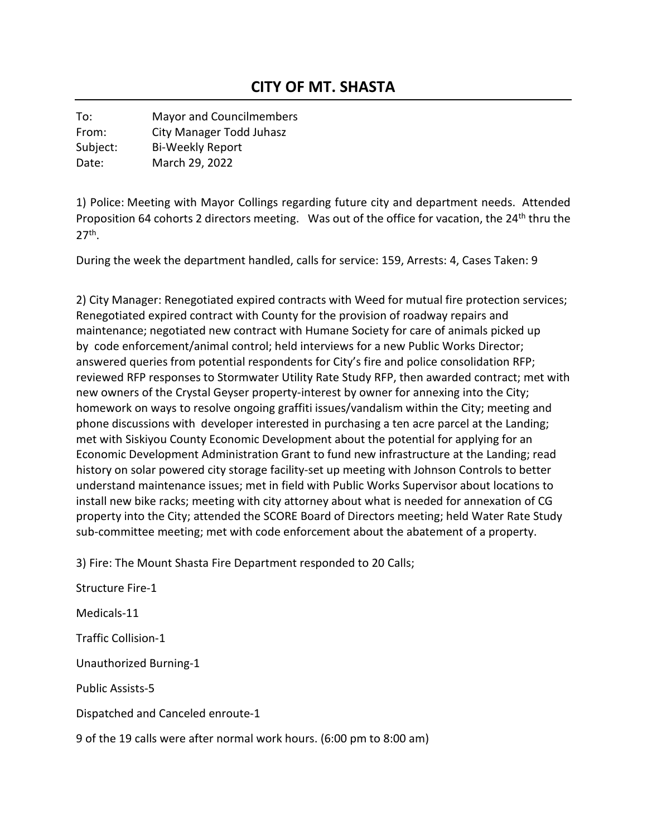To: Mayor and Councilmembers From: City Manager Todd Juhasz Subject: Bi-Weekly Report Date: March 29, 2022

1) Police: Meeting with Mayor Collings regarding future city and department needs. Attended Proposition 64 cohorts 2 directors meeting. Was out of the office for vacation, the 24<sup>th</sup> thru the  $27<sup>th</sup>$ .

During the week the department handled, calls for service: 159, Arrests: 4, Cases Taken: 9

2) City Manager: Renegotiated expired contracts with Weed for mutual fire protection services; Renegotiated expired contract with County for the provision of roadway repairs and maintenance; negotiated new contract with Humane Society for care of animals picked up by code enforcement/animal control; held interviews for a new Public Works Director; answered queries from potential respondents for City's fire and police consolidation RFP; reviewed RFP responses to Stormwater Utility Rate Study RFP, then awarded contract; met with new owners of the Crystal Geyser property-interest by owner for annexing into the City; homework on ways to resolve ongoing graffiti issues/vandalism within the City; meeting and phone discussions with developer interested in purchasing a ten acre parcel at the Landing; met with Siskiyou County Economic Development about the potential for applying for an Economic Development Administration Grant to fund new infrastructure at the Landing; read history on solar powered city storage facility-set up meeting with Johnson Controls to better understand maintenance issues; met in field with Public Works Supervisor about locations to install new bike racks; meeting with city attorney about what is needed for annexation of CG property into the City; attended the SCORE Board of Directors meeting; held Water Rate Study sub-committee meeting; met with code enforcement about the abatement of a property.

3) Fire: The Mount Shasta Fire Department responded to 20 Calls;

Structure Fire-1 Medicals-11 Traffic Collision-1 Unauthorized Burning-1 Public Assists-5 Dispatched and Canceled enroute-1 9 of the 19 calls were after normal work hours. (6:00 pm to 8:00 am)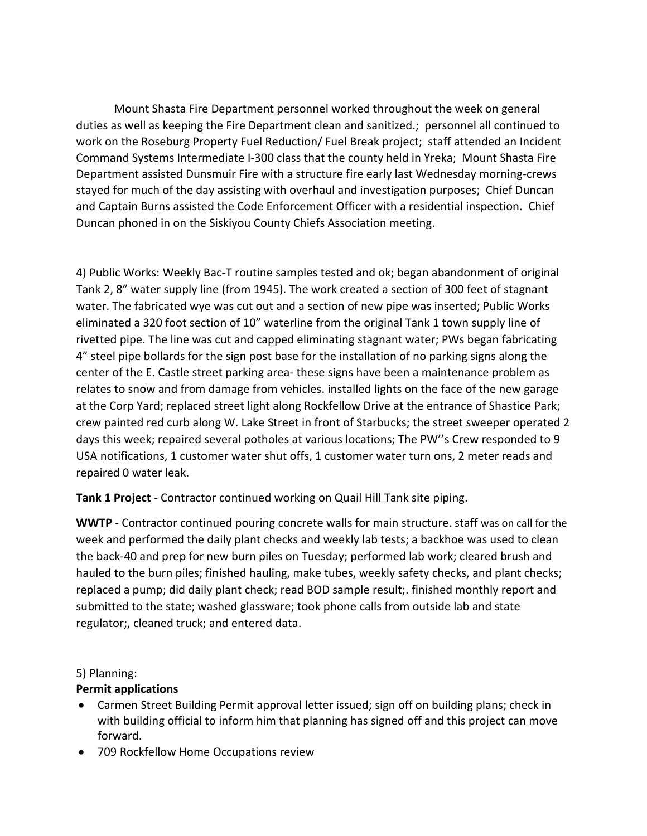Mount Shasta Fire Department personnel worked throughout the week on general duties as well as keeping the Fire Department clean and sanitized.; personnel all continued to work on the Roseburg Property Fuel Reduction/ Fuel Break project; staff attended an Incident Command Systems Intermediate I-300 class that the county held in Yreka; Mount Shasta Fire Department assisted Dunsmuir Fire with a structure fire early last Wednesday morning-crews stayed for much of the day assisting with overhaul and investigation purposes; Chief Duncan and Captain Burns assisted the Code Enforcement Officer with a residential inspection. Chief Duncan phoned in on the Siskiyou County Chiefs Association meeting.

4) Public Works: Weekly Bac-T routine samples tested and ok; began abandonment of original Tank 2, 8" water supply line (from 1945). The work created a section of 300 feet of stagnant water. The fabricated wye was cut out and a section of new pipe was inserted; Public Works eliminated a 320 foot section of 10" waterline from the original Tank 1 town supply line of rivetted pipe. The line was cut and capped eliminating stagnant water; PWs began fabricating 4" steel pipe bollards for the sign post base for the installation of no parking signs along the center of the E. Castle street parking area- these signs have been a maintenance problem as relates to snow and from damage from vehicles. installed lights on the face of the new garage at the Corp Yard; replaced street light along Rockfellow Drive at the entrance of Shastice Park; crew painted red curb along W. Lake Street in front of Starbucks; the street sweeper operated 2 days this week; repaired several potholes at various locations; The PW''s Crew responded to 9 USA notifications, 1 customer water shut offs, 1 customer water turn ons, 2 meter reads and repaired 0 water leak.

**Tank 1 Project** - Contractor continued working on Quail Hill Tank site piping.

**WWTP** - Contractor continued pouring concrete walls for main structure. staff was on call for the week and performed the daily plant checks and weekly lab tests; a backhoe was used to clean the back-40 and prep for new burn piles on Tuesday; performed lab work; cleared brush and hauled to the burn piles; finished hauling, make tubes, weekly safety checks, and plant checks; replaced a pump; did daily plant check; read BOD sample result;. finished monthly report and submitted to the state; washed glassware; took phone calls from outside lab and state regulator;, cleaned truck; and entered data.

#### 5) Planning:

#### **Permit applications**

- Carmen Street Building Permit approval letter issued; sign off on building plans; check in with building official to inform him that planning has signed off and this project can move forward.
- 709 Rockfellow Home Occupations review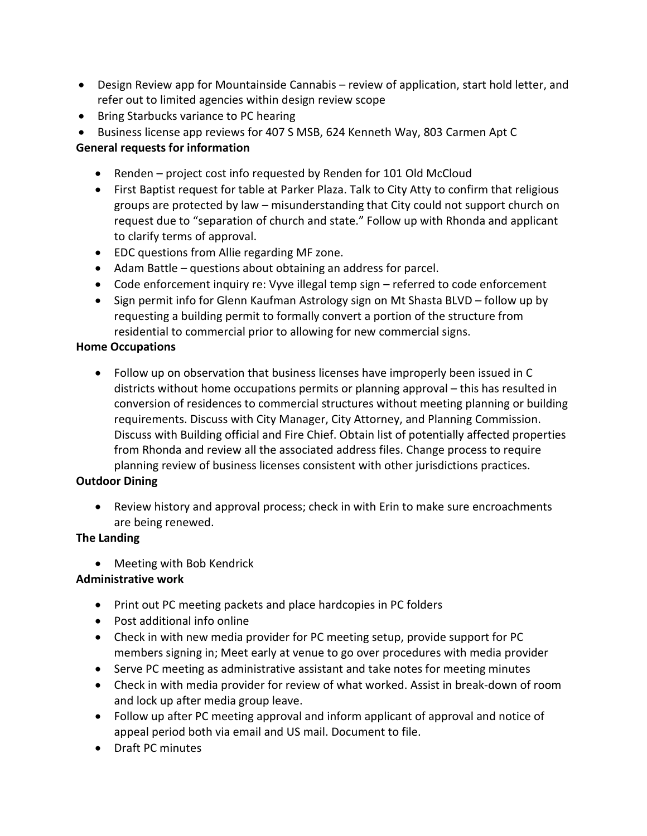- Design Review app for Mountainside Cannabis review of application, start hold letter, and refer out to limited agencies within design review scope
- Bring Starbucks variance to PC hearing
- Business license app reviews for 407 S MSB, 624 Kenneth Way, 803 Carmen Apt C

# **General requests for information**

- Renden project cost info requested by Renden for 101 Old McCloud
- First Baptist request for table at Parker Plaza. Talk to City Atty to confirm that religious groups are protected by law – misunderstanding that City could not support church on request due to "separation of church and state." Follow up with Rhonda and applicant to clarify terms of approval.
- EDC questions from Allie regarding MF zone.
- Adam Battle questions about obtaining an address for parcel.
- Code enforcement inquiry re: Vyve illegal temp sign referred to code enforcement
- Sign permit info for Glenn Kaufman Astrology sign on Mt Shasta BLVD follow up by requesting a building permit to formally convert a portion of the structure from residential to commercial prior to allowing for new commercial signs.

## **Home Occupations**

• Follow up on observation that business licenses have improperly been issued in C districts without home occupations permits or planning approval – this has resulted in conversion of residences to commercial structures without meeting planning or building requirements. Discuss with City Manager, City Attorney, and Planning Commission. Discuss with Building official and Fire Chief. Obtain list of potentially affected properties from Rhonda and review all the associated address files. Change process to require planning review of business licenses consistent with other jurisdictions practices.

## **Outdoor Dining**

• Review history and approval process; check in with Erin to make sure encroachments are being renewed.

## **The Landing**

• Meeting with Bob Kendrick

## **Administrative work**

- Print out PC meeting packets and place hardcopies in PC folders
- Post additional info online
- Check in with new media provider for PC meeting setup, provide support for PC members signing in; Meet early at venue to go over procedures with media provider
- Serve PC meeting as administrative assistant and take notes for meeting minutes
- Check in with media provider for review of what worked. Assist in break-down of room and lock up after media group leave.
- Follow up after PC meeting approval and inform applicant of approval and notice of appeal period both via email and US mail. Document to file.
- Draft PC minutes